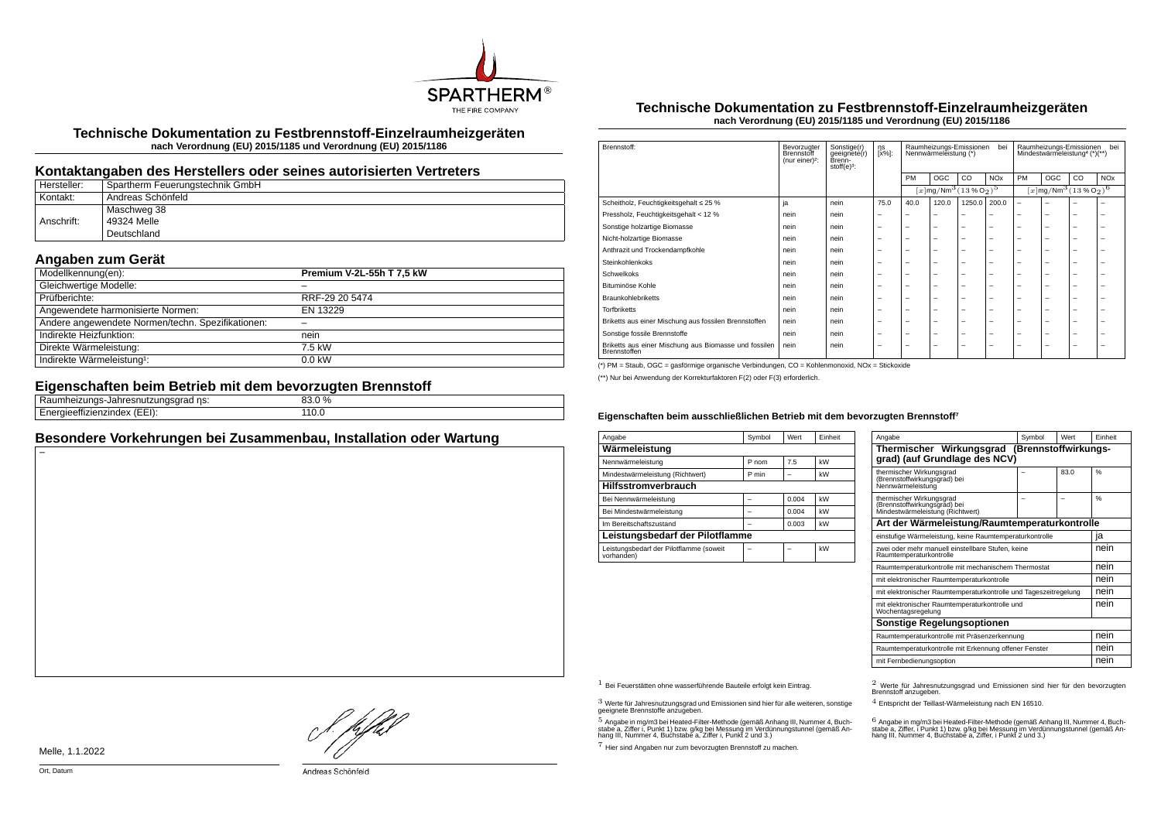

**Technische Dokumentation zu Festbrennstoff-Einzelraumheizgeräten nach Verordnung (EU) 2015/1185 und Verordnung (EU) 2015/1186**

## **Kontaktangaben des Herstellers oder seines autorisierten Vertreters**

| Hersteller: | Spartherm Feuerungstechnik GmbH |
|-------------|---------------------------------|
| Kontakt:    | ' Andreas Schönfeld             |
|             | Maschweg 38                     |
| Anschrift:  | 49324 Melle                     |
|             | Deutschland                     |

## **Angaben zum Gerät**

| Modellkennung(en):                                | Premium V-2L-55h T 7,5 kW |
|---------------------------------------------------|---------------------------|
| Gleichwertige Modelle:                            |                           |
| Prüfberichte:                                     | RRF-29 20 5474            |
| Angewendete harmonisierte Normen:                 | EN 13229                  |
| Andere angewendete Normen/techn. Spezifikationen: |                           |
| Indirekte Heizfunktion:                           | nein                      |
| Direkte Wärmeleistung:                            | 7.5 kW                    |
| Indirekte Wärmeleistung <sup>1</sup> :            | $0.0$ kW                  |

## **Eigenschaften beim Betrieb mit dem bevorzugten Brennstoff**

| __                                                                          |                                           |  |
|-----------------------------------------------------------------------------|-------------------------------------------|--|
| .<br>ns:<br>лапге:<br>: נוו ונו<br>isulau<br>ייי די חו∪ון והידיי            | $\sim$ $\sim$<br>nn<br>$\frac{0}{0}$<br>. |  |
| <br>$\overline{\phantom{a}}$<br>$\sqrt{2}$<br>.<br>TIZIHUEX<br>. <i>. .</i> | ⊥⊥∪.∪                                     |  |
|                                                                             |                                           |  |

## **Besondere Vorkehrungen bei Zusammenbau, Installation oder Wartung**

#### **Technische Dokumentation zu Festbrennstoff-Einzelraumheizgeräten nach Verordnung (EU) 2015/1185 und Verordnung (EU) 2015/1186**

| Brennstoff:                                                           | Bevorzugter<br>Brennstoff<br>(nur einer) <sup>2</sup> : | Sonstige(r)<br>geeignete(r)<br>Brenn-<br>stoff $(e)^3$ : | ηs<br>[x%]: | Raumheizungs-Emissionen<br>bei<br>Nennwärmeleistung (*) |                                                                   |                          | Raumheizungs-Emissionen<br>bei<br>Mindestwärmeleistung <sup>4</sup> (*)(**) |                                               |     |    |                       |
|-----------------------------------------------------------------------|---------------------------------------------------------|----------------------------------------------------------|-------------|---------------------------------------------------------|-------------------------------------------------------------------|--------------------------|-----------------------------------------------------------------------------|-----------------------------------------------|-----|----|-----------------------|
|                                                                       |                                                         |                                                          |             | PM                                                      | OGC                                                               | CO.                      | <b>NO<sub>x</sub></b>                                                       | PM                                            | OGC | CO | <b>NO<sub>x</sub></b> |
|                                                                       |                                                         |                                                          |             |                                                         | $[x \, \text{mg}/\text{Nm}^3 \, (13 \, \text{%} \, \text{O}_2)^5$ |                          |                                                                             | $[x \text{mg}/\text{Nm}^3 \text{ (13 %O2)}^6$ |     |    |                       |
| Scheitholz, Feuchtigkeitsgehalt ≤ 25 %                                | ja                                                      | nein                                                     | 75.0        | 40.0                                                    | 120.0                                                             | 1250.0                   | 200.0                                                                       | $\overline{\phantom{0}}$                      | ۰   |    |                       |
| Pressholz, Feuchtigkeitsgehalt < 12 %                                 | nein                                                    | nein                                                     | -           |                                                         | -                                                                 | -                        |                                                                             |                                               | -   | -  | -                     |
| Sonstige holzartige Biomasse                                          | nein                                                    | nein                                                     | -           | -                                                       | $\overline{\phantom{a}}$                                          | $\overline{\phantom{0}}$ | -                                                                           | -                                             | -   | -  | -                     |
| Nicht-holzartige Biomasse                                             | nein                                                    | nein                                                     | -           | -                                                       | -                                                                 | $\overline{\phantom{0}}$ | -                                                                           | -                                             | -   | -  | -                     |
| Anthrazit und Trockendampfkohle                                       | nein                                                    | nein                                                     | -           | -                                                       | $\overline{\phantom{a}}$                                          | $\overline{\phantom{0}}$ | -                                                                           | -                                             | -   | -  | -                     |
| Steinkohlenkoks                                                       | nein                                                    | nein                                                     | -           | -                                                       | $\overline{\phantom{a}}$                                          | $\overline{\phantom{0}}$ | -                                                                           | -                                             | -   | -  | -                     |
| Schwelkoks                                                            | nein                                                    | nein                                                     | -           | -                                                       | -                                                                 | -                        | -                                                                           | -                                             | -   | -  | ۰                     |
| Bituminöse Kohle                                                      | nein                                                    | nein                                                     | -           | -                                                       | -                                                                 | -                        | -                                                                           | -                                             | -   | -  | -                     |
| <b>Braunkohlebriketts</b>                                             | nein                                                    | nein                                                     | -           | -                                                       | $\overline{\phantom{a}}$                                          | $\overline{\phantom{0}}$ | -                                                                           | -                                             | -   | -  | -                     |
| <b>Torfbriketts</b>                                                   | nein                                                    | nein                                                     | -           | -                                                       | $\overline{\phantom{a}}$                                          | $\overline{\phantom{0}}$ | -                                                                           | -                                             | -   | -  | -                     |
| Briketts aus einer Mischung aus fossilen Brennstoffen                 | nein                                                    | nein                                                     | -           | -                                                       | $\overline{\phantom{a}}$                                          | $\overline{\phantom{0}}$ | -                                                                           | -                                             | -   | -  | -                     |
| Sonstige fossile Brennstoffe                                          | nein                                                    | nein                                                     | -           | -                                                       | $\overline{\phantom{a}}$                                          | $\overline{\phantom{0}}$ | -                                                                           | -                                             | -   | -  | -                     |
| Briketts aus einer Mischung aus Biomasse und fossilen<br>Brennstoffen | nein                                                    | nein                                                     | -           | -                                                       | -                                                                 | -                        | -                                                                           | -                                             | -   | -  | -                     |

(\*) PM = Staub, OGC = gasförmige organische Verbindungen, CO = Kohlenmonoxid, NOx = Stickoxide

(\*\*) Nur bei Anwendung der Korrekturfaktoren F(2) oder F(3) erforderlich.

#### **Eigenschaften beim ausschließlichen Betrieb mit dem bevorzugten Brennstoff⁷**

| Angabe                                                | Symbol | Wert  | Einheit |  |  |
|-------------------------------------------------------|--------|-------|---------|--|--|
| Wärmeleistung                                         |        |       |         |  |  |
| Nennwärmeleistung                                     | P nom  | 7.5   | kW      |  |  |
| Mindestwärmeleistung (Richtwert)                      | P min  |       | kW      |  |  |
| <b>Hilfsstromverbrauch</b>                            |        |       |         |  |  |
| Bei Nennwärmeleistung                                 |        | 0.004 | kW      |  |  |
| Bei Mindestwärmeleistung                              |        | 0.004 | kW      |  |  |
| Im Bereitschaftszustand                               |        | 0.003 | kW      |  |  |
| Leistungsbedarf der Pilotflamme                       |        |       |         |  |  |
| Leistungsbedarf der Pilotflamme (soweit<br>vorhanden) |        |       | kW      |  |  |

| Angabe                                                                                       | Symbol | Wert | Finheit |  |
|----------------------------------------------------------------------------------------------|--------|------|---------|--|
| Thermischer Wirkungsgrad (Brennstoffwirkungs-<br>grad) (auf Grundlage des NCV)               |        |      |         |  |
| thermischer Wirkungsgrad<br>(Brennstoffwirkungsgrad) bei<br>Nennwärmeleistung                |        | 83.0 | %       |  |
| thermischer Wirkungsgrad<br>(Brennstoffwirkungsgrad) bei<br>Mindestwärmeleistung (Richtwert) |        |      | %       |  |
| Art der Wärmeleistung/Raumtemperaturkontrolle                                                |        |      |         |  |
| einstufige Wärmeleistung, keine Raumtemperaturkontrolle                                      |        |      | ıa      |  |
| zwei oder mehr manuell einstellbare Stufen, keine<br>Raumtemperaturkontrolle                 |        |      |         |  |
| Raumtemperaturkontrolle mit mechanischem Thermostat                                          |        |      | nein    |  |
| mit elektronischer Raumtemperaturkontrolle                                                   |        |      | nein    |  |
| mit elektronischer Raumtemperaturkontrolle und Tageszeitregelung                             |        |      | nein    |  |
| mit elektronischer Raumtemperaturkontrolle und<br>Wochentagsregelung                         |        |      | nein    |  |
| Sonstige Regelungsoptionen                                                                   |        |      |         |  |
| Raumtemperaturkontrolle mit Präsenzerkennung                                                 |        |      |         |  |
| Raumtemperaturkontrolle mit Erkennung offener Fenster                                        |        |      | nein    |  |
| mit Fernbedienungsoption                                                                     |        |      | nein    |  |

 $3$  Werte für Jahresnutzungsgrad und Emissionen sind hier für alle weiteren, sonstige geeignete Brennstoffe anzugeben.

 $5$  Angabe in mg/m3 bei Heated-Filter-Methode (gemäß Anhang III, Nummer 4, Buchstabe a, Ziffer i, Punkt 1) bzw. g/kg bei Messung im Verdünnungstunnel (gemäß An-hang III, Nummer 4, Buchstabe a, Ziffer i, Punkt 2 und 3.)

7 Hier sind Angaben nur zum bevorzugten Brennstoff zu machen.

1 Bei Feuerstätten ohne wasserführende Bauteile erfolgt kein Eintrag. 2 Werte für Jahresnutzungsgrad und Emissionen sind hier für den bevorzugten Brennstoff anzugeben.

4 Entspricht der Teillast-Wärmeleistung nach EN 16510.

.<br>stabe a, Ziffer, i Punkt 1) bzw. g/kg bei Messung im Verdünnungstunnel (gemäß An-<br>hang III, Nummer 4, Buchstabe a, Ziffer, i Punkt 2 und 3.)<br>hang III, Nummer 4, Buchstabe a, Ziffer, i Punkt 2 und 3.)

Melle, 1.1.2022

}. pfh;f

Andreas Schönfeld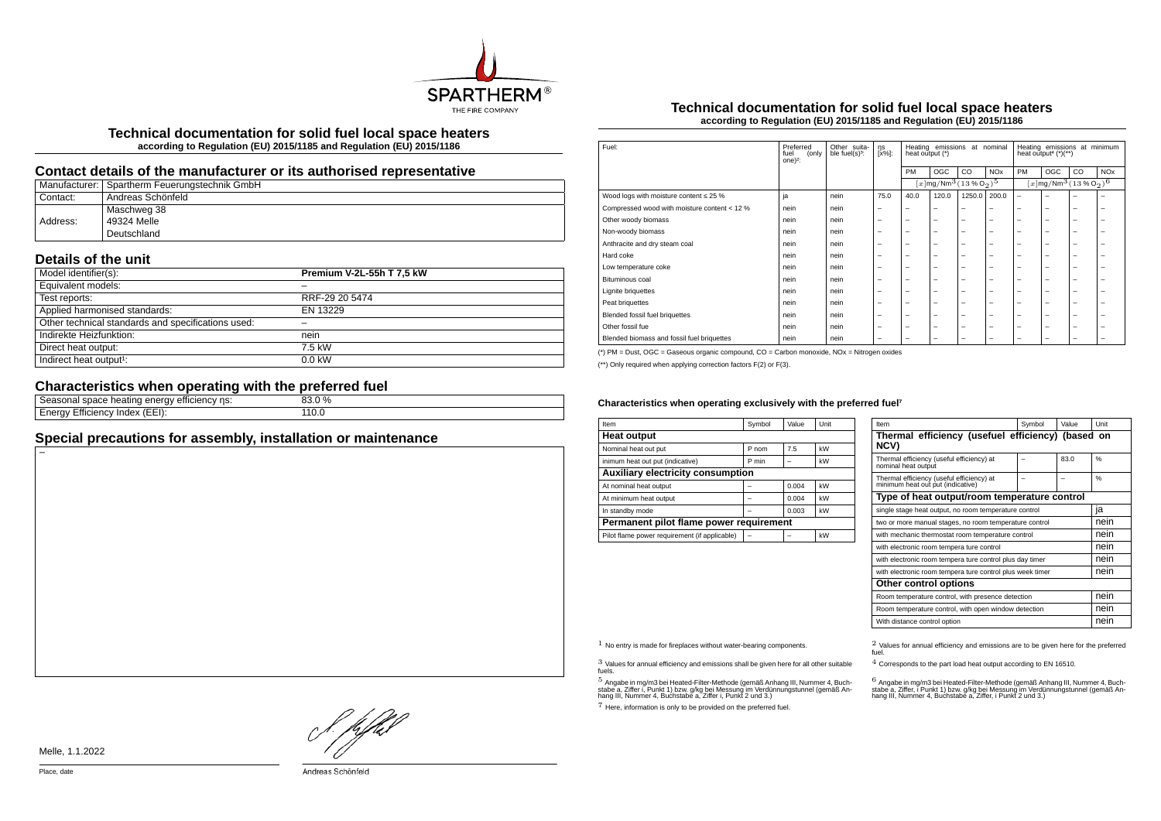

**Technical documentation for solid fuel local space heaters according to Regulation (EU) 2015/1185 and Regulation (EU) 2015/1186**

## **Contact details of the manufacturer or its authorised representative**

|          | Manufacturer:   Spartherm Feuerungstechnik GmbH |
|----------|-------------------------------------------------|
| Contact: | <sup>i</sup> Andreas Schönfeld                  |
|          | Maschweg 38                                     |
| Address: | 49324 Melle                                     |
|          | Deutschland                                     |

## **Details of the unit**

| Model identifier(s):                               | Premium V-2L-55h T 7,5 kW |
|----------------------------------------------------|---------------------------|
| Equivalent models:                                 |                           |
| Test reports:                                      | RRF-29 20 5474            |
| Applied harmonised standards:                      | EN 13229                  |
| Other technical standards and specifications used: |                           |
| Indirekte Heizfunktion:                            | nein                      |
| Direct heat output:                                | 7.5 kW                    |
| Indirect heat output <sup>1</sup> :                | $0.0$ kW                  |

# **Characteristics when operating with the preferred fuel**

| ns:<br>emcienc.<br>enei<br>space nealing F<br>,,,,<br>asunan<br>٠,, | $\frac{0}{0}$ |  |
|---------------------------------------------------------------------|---------------|--|
| $\leftarrow$<br>(EEI):<br>…ciency ·<br>index<br>71V<br>-111         | ⊥⊥∪.∪<br>___  |  |
|                                                                     |               |  |

# **Special precautions for assembly, installation or maintenance**

## **Technical documentation for solid fuel local space heaters according to Regulation (EU) 2015/1185 and Regulation (EU) 2015/1186**

| Fuel:                                        | Preferred<br>fuel<br>(only<br>one $)^2$ : | Other suita-<br>ble fuel(s) <sup>3</sup> : | ηs<br>[x%]:              | Heating emissions at nominal<br>heat output (*) |                                                         |        | Heating emissions at minimum<br>heat output <sup>4</sup> $(*)$ <sup>**</sup> ) |                          |                                                        |    |                       |
|----------------------------------------------|-------------------------------------------|--------------------------------------------|--------------------------|-------------------------------------------------|---------------------------------------------------------|--------|--------------------------------------------------------------------------------|--------------------------|--------------------------------------------------------|----|-----------------------|
|                                              |                                           |                                            |                          | PM                                              | OGC                                                     | CO     | <b>NO<sub>x</sub></b>                                                          | PM                       | OGC                                                    | CO | <b>NO<sub>x</sub></b> |
|                                              |                                           |                                            |                          |                                                 | $[x \, \text{mg}/\text{Nm}^3 \, (13\,\%\,\text{O}_2)^5$ |        |                                                                                |                          | $[x]$ mg/Nm $^3$ $(13\%$ O <sub>2</sub> ) <sup>6</sup> |    |                       |
| Wood logs with moisture content $\leq 25$ %  | ja                                        | nein                                       | 75.0                     | 40.0                                            | 120.0                                                   | 1250.0 | 200.0                                                                          | $\overline{\phantom{0}}$ | -                                                      |    | -                     |
| Compressed wood with moisture content < 12 % | nein                                      | nein                                       |                          | $\overline{\phantom{0}}$                        | $\overline{\phantom{0}}$                                | -      | -                                                                              | -                        | -                                                      | -  | -                     |
| Other woody biomass                          | nein                                      | nein                                       | $\overline{\phantom{a}}$ | $\overline{\phantom{0}}$                        | $\overline{\phantom{0}}$                                | -      | -                                                                              | -                        | -                                                      | -  | -                     |
| Non-woody biomass                            | nein                                      | nein                                       | $\overline{\phantom{a}}$ | $\overline{\phantom{0}}$                        | $\overline{\phantom{0}}$                                | -      | -                                                                              | -                        | -                                                      | -  | -                     |
| Anthracite and dry steam coal                | nein                                      | nein                                       | $\overline{\phantom{m}}$ | $\overline{\phantom{m}}$                        | $\overline{\phantom{0}}$                                | -      | -                                                                              | -                        | -                                                      | -  | -                     |
| Hard coke                                    | nein                                      | nein                                       | $\overline{\phantom{a}}$ | $\overline{\phantom{0}}$                        | $\overline{\phantom{0}}$                                | -      | -                                                                              | -                        | -                                                      | -  | -                     |
| Low temperature coke                         | nein                                      | nein                                       | $\overline{\phantom{a}}$ | -                                               | $\overline{\phantom{a}}$                                | -      | -                                                                              | -                        | -                                                      | -  | -                     |
| Bituminous coal                              | nein                                      | nein                                       | $\overline{\phantom{a}}$ | -                                               | $\overline{\phantom{0}}$                                | -      | -                                                                              | -                        | -                                                      | -  | -                     |
| Lignite briguettes                           | nein                                      | nein                                       | $\overline{\phantom{a}}$ | -                                               | $\overline{\phantom{a}}$                                | -      | -                                                                              | -                        | -                                                      | -  | -                     |
| Peat briquettes                              | nein                                      | nein                                       | $\overline{\phantom{a}}$ | $\overline{\phantom{0}}$                        | $\overline{\phantom{a}}$                                | -      | -                                                                              | -                        | -                                                      | -  | -                     |
| Blended fossil fuel briquettes               | nein                                      | nein                                       | $\overline{\phantom{m}}$ | $\overline{\phantom{m}}$                        | $\overline{\phantom{0}}$                                | -      | -                                                                              | -                        | -                                                      | -  | -                     |
| Other fossil fue                             | nein                                      | nein                                       | $\overline{\phantom{a}}$ | $\overline{\phantom{0}}$                        | $\overline{\phantom{0}}$                                | -      | -                                                                              | -                        | -                                                      | -  | -                     |
| Blended biomass and fossil fuel briquettes   | nein                                      | nein                                       | $\overline{\phantom{0}}$ | -                                               | -                                                       | -      | -                                                                              | -                        | -                                                      | -  | -                     |
|                                              |                                           |                                            |                          |                                                 |                                                         |        |                                                                                |                          |                                                        |    |                       |

(\*) PM = Dust, OGC = Gaseous organic compound, CO = Carbon monoxide, NOx = Nitrogen oxides

(\*\*) Only required when applying correction factors F(2) or F(3).

#### Characteristics when operating exclusively with the preferred fuel<sup>7</sup>

| Item                                          | Symbol | Value | Unit |  |  |  |
|-----------------------------------------------|--------|-------|------|--|--|--|
| <b>Heat output</b>                            |        |       |      |  |  |  |
| Nominal heat out put                          | P nom  | 7.5   | kW   |  |  |  |
| inimum heat out put (indicative)              | P min  |       | kW   |  |  |  |
| <b>Auxiliary electricity consumption</b>      |        |       |      |  |  |  |
| At nominal heat output                        |        | 0.004 | kW   |  |  |  |
| At minimum heat output                        |        | 0.004 | kW   |  |  |  |
| In standby mode                               |        | 0.003 | kW   |  |  |  |
| Permanent pilot flame power requirement       |        |       |      |  |  |  |
| Pilot flame power requirement (if applicable) |        |       | kW   |  |  |  |

| Item                                                                           | Symbol | Value | Unit |  |
|--------------------------------------------------------------------------------|--------|-------|------|--|
| Thermal efficiency (usefuel efficiency) (based on<br><b>NCV)</b>               |        |       |      |  |
| Thermal efficiency (useful efficiency) at<br>nominal heat outout               |        | 83.0  | 0/6  |  |
| Thermal efficiency (useful efficiency) at<br>minimum heat out put (indicative) |        |       | 0/6  |  |
| Type of heat output/room temperature control                                   |        |       |      |  |
| single stage heat output, no room temperature control                          | ia     |       |      |  |
| two or more manual stages, no room temperature control                         | nein   |       |      |  |
| with mechanic thermostat room temperature control                              | nein   |       |      |  |
| with electronic room tempera ture control                                      |        |       | nein |  |
| with electronic room tempera ture control plus day timer                       |        |       | nein |  |
| with electronic room tempera ture control plus week timer                      |        |       | nein |  |
| Other control options                                                          |        |       |      |  |
| Room temperature control, with presence detection                              | nein   |       |      |  |
| Room temperature control, with open window detection                           | nein   |       |      |  |
| With distance control option                                                   |        |       | nein |  |

3 Values for annual efficiency and emissions shall be given here for all other suitable fuels.

.<br>5 Angabe a, Ziffer i, Punkt 1) bzw. g/kg bei Messung im Verdünnungstunnel (gemäß An-<br>hang III, Nummer 4, Buchstabe a, Ziffer i, Punkt 2 und 3.)<br>hang III, Nummer 4, Buchstabe a, Ziffer i, Punkt 2 und 3.)

7 Here, information is only to be provided on the preferred fuel.

 $1$  No entry is made for fireplaces without water-bearing components.  $2$  Values for annual efficiency and emissions are to be given here for the preferred fuel.

4 Corresponds to the part load heat output according to EN 16510.

.<br>stabe a, Ziffer, i Punkt 1) bzw. g/kg bei Messung im Verdünnungstunner 4, Buch-<br>hang III, Nummer 4, Buchstabe a, Ziffer, i Punkt 2 und 3.)<br>hang III, Nummer 4, Buchstabe a, Ziffer, i Punkt 2 und 3.)

! pfhil

Melle, 1.1.2022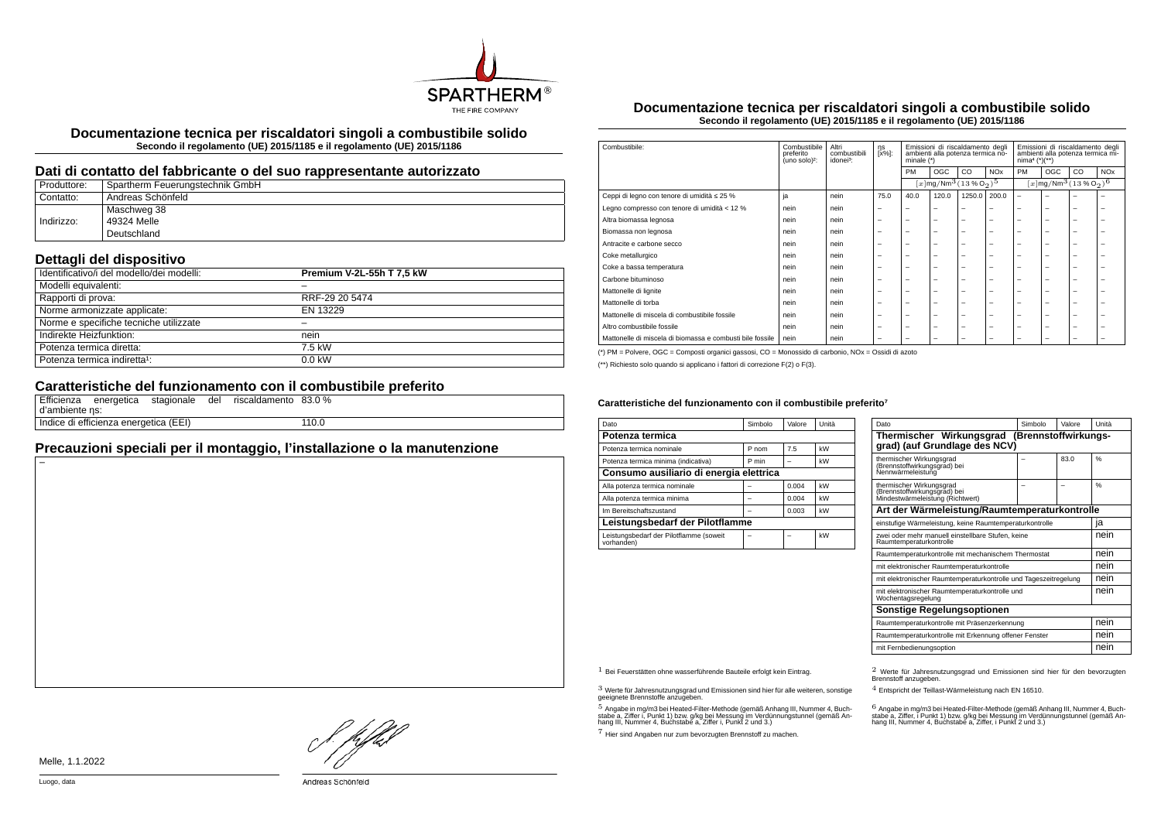

**Documentazione tecnica per riscaldatori singoli a combustibile solido Secondo il regolamento (UE) 2015/1185 e il regolamento (UE) 2015/1186**

## **Dati di contatto del fabbricante o del suo rappresentante autorizzato**

| Produttore: | Spartherm Feuerungstechnik GmbH |
|-------------|---------------------------------|
| Contatto:   | Andreas Schönfeld               |
|             | Maschweg 38                     |
| Indirizzo:  | 49324 Melle                     |
|             | Deutschland                     |

# **Dettagli del dispositivo**

| Identificativo/i del modello/dei modelli: | Premium V-2L-55h T 7,5 kW |
|-------------------------------------------|---------------------------|
| Modelli equivalenti:                      |                           |
| Rapporti di prova:                        | RRF-29 20 5474            |
| Norme armonizzate applicate:              | EN 13229                  |
| Norme e specifiche tecniche utilizzate    |                           |
| Indirekte Heizfunktion:                   | nein                      |
| Potenza termica diretta:                  | 7.5 kW                    |
| Potenza termica indiretta <sup>1</sup> :  | $0.0$ kW                  |

# **Caratteristiche del funzionamento con il combustibile preferito**

| d'ambiente ns: | Efficienza energetica stagionale      |  | del riscaldamento 83.0 % |       |
|----------------|---------------------------------------|--|--------------------------|-------|
|                | Indice di efficienza energetica (EEI) |  |                          | 110.0 |

# **Precauzioni speciali per il montaggio, l'installazione o la manutenzione**

**Documentazione tecnica per riscaldatori singoli a combustibile solido Secondo il regolamento (UE) 2015/1185 e il regolamento (UE) 2015/1186**

| Combustibile:                                             | Combustibile<br>preferito<br>(uno solo) <sup>2</sup> : | Altri<br>combustibili<br>idonei <sup>3</sup> : | ηs<br>[x%]:              | Emissioni di riscaldamento degli<br>ambienti alla potenza termica no-<br>minale $(*)$ |                          | Emissioni di riscaldamento degli<br>ambienti alla potenza termica mi-<br>$nima4 (*)(**)$ |                          |                                                           |                          |                          |                       |
|-----------------------------------------------------------|--------------------------------------------------------|------------------------------------------------|--------------------------|---------------------------------------------------------------------------------------|--------------------------|------------------------------------------------------------------------------------------|--------------------------|-----------------------------------------------------------|--------------------------|--------------------------|-----------------------|
|                                                           |                                                        |                                                | <b>PM</b>                |                                                                                       | <b>OGC</b>               | CO                                                                                       | <b>NO<sub>x</sub></b>    | PM                                                        | OGC                      | CO                       | <b>NO<sub>x</sub></b> |
|                                                           |                                                        |                                                |                          | $[x \, \text{mg}/\text{Nm}^3 (13\,\%\,\text{O}_2)^5]$                                 |                          |                                                                                          |                          | $[x \, \text{mg}/\text{Nm}^3 \, (13\, \%\, \text{O}_2)^6$ |                          |                          |                       |
| Ceppi di legno con tenore di umidità ≤ 25 %               | ja                                                     | nein                                           | 75.0                     | 40.0                                                                                  | 120.0                    | 1250.0                                                                                   | 200.0                    | $\overline{\phantom{0}}$                                  | $\overline{\phantom{0}}$ | ۰                        |                       |
| Legno compresso con tenore di umidità < 12 %              | nein                                                   | nein                                           | $\overline{\phantom{m}}$ | $\overline{\phantom{a}}$                                                              | $\overline{\phantom{a}}$ | -                                                                                        | -                        | $\overline{\phantom{0}}$                                  | $\overline{\phantom{0}}$ | $\overline{\phantom{0}}$ | -                     |
| Altra biomassa legnosa                                    | nein                                                   | nein                                           | $\overline{\phantom{m}}$ | $\overline{\phantom{0}}$                                                              | $\overline{\phantom{m}}$ | $\overline{\phantom{0}}$                                                                 | $\overline{\phantom{0}}$ | $\overline{\phantom{0}}$                                  | $\overline{\phantom{0}}$ | $\overline{\phantom{0}}$ | -                     |
| Biomassa non legnosa                                      | nein                                                   | nein                                           | $\overline{\phantom{0}}$ | $\overline{\phantom{0}}$                                                              | $\overline{\phantom{0}}$ | -                                                                                        | -                        | $\overline{\phantom{a}}$                                  | $\overline{\phantom{0}}$ | -                        | -                     |
| Antracite e carbone secco                                 | nein                                                   | nein                                           | $\overline{\phantom{0}}$ | $\overline{\phantom{a}}$                                                              | $\overline{\phantom{a}}$ | -                                                                                        | -                        | -                                                         | -                        | -                        |                       |
| Coke metallurgico                                         | nein                                                   | nein                                           | $\overline{\phantom{0}}$ | $\overline{\phantom{0}}$                                                              | $\overline{\phantom{a}}$ | -                                                                                        | -                        | -                                                         | $\overline{\phantom{0}}$ | -                        |                       |
| Coke a bassa temperatura                                  | nein                                                   | nein                                           | $\overline{\phantom{0}}$ | $\overline{\phantom{0}}$                                                              | $\overline{\phantom{0}}$ | -                                                                                        | -                        | $\overline{\phantom{0}}$                                  |                          | -                        | -                     |
| Carbone bituminoso                                        | nein                                                   | nein                                           | $\overline{\phantom{0}}$ | $\overline{\phantom{0}}$                                                              | $\overline{\phantom{0}}$ | -                                                                                        | -                        | -                                                         | $\overline{\phantom{0}}$ | -                        |                       |
| Mattonelle di lignite                                     | nein                                                   | nein                                           | -                        | -                                                                                     | $\overline{\phantom{a}}$ | -                                                                                        | -                        | -                                                         | $\overline{\phantom{0}}$ | ۰                        |                       |
| Mattonelle di torba                                       | nein                                                   | nein                                           | $\overline{\phantom{0}}$ | $\overline{\phantom{0}}$                                                              | $\overline{\phantom{a}}$ | -                                                                                        | -                        | -                                                         | -                        | -                        |                       |
| Mattonelle di miscela di combustibile fossile             | nein                                                   | nein                                           | $\overline{\phantom{0}}$ | $\overline{\phantom{0}}$                                                              | $\overline{\phantom{a}}$ | -                                                                                        | -                        | -                                                         | $\overline{\phantom{0}}$ | -                        |                       |
| Altro combustibile fossile                                | nein                                                   | nein                                           | $\overline{\phantom{0}}$ | $\overline{\phantom{0}}$                                                              | $\overline{\phantom{0}}$ | -                                                                                        | -                        | $\overline{\phantom{a}}$                                  | -                        | -                        |                       |
| Mattonelle di miscela di biomassa e combusti bile fossile | nein                                                   | nein                                           | $\overline{\phantom{0}}$ | -                                                                                     | -                        | -                                                                                        | -                        | -                                                         | -                        | -                        |                       |

(\*) PM = Polvere, OGC = Composti organici gassosi, CO = Monossido di carbonio, NOx = Ossidi di azoto

(\*\*) Richiesto solo quando si applicano i fattori di correzione F(2) o F(3).

#### Caratteristiche del funzionamento con il combustibile preferito<sup>7</sup>

| Dato                                                  | Simbolo | Valore | Unità |  |  |
|-------------------------------------------------------|---------|--------|-------|--|--|
| Potenza termica                                       |         |        |       |  |  |
| Potenza termica nominale                              | P nom   | 7.5    | kW    |  |  |
| Potenza termica minima (indicativa)                   | P min   |        | kW    |  |  |
| Consumo ausiliario di energia elettrica               |         |        |       |  |  |
| Alla potenza termica nominale                         |         | 0.004  | kW    |  |  |
| Alla potenza termica minima                           |         | 0.004  | kW    |  |  |
| Im Bereitschaftszustand                               |         | 0.003  | kW    |  |  |
| Leistungsbedarf der Pilotflamme                       |         |        |       |  |  |
| Leistungsbedarf der Pilotflamme (soweit<br>vorhanden) |         |        | kW    |  |  |

| Dato                                                                                     | Simbolo | Valore | Unità |  |
|------------------------------------------------------------------------------------------|---------|--------|-------|--|
| Thermischer Wirkungsgrad (Brennstoffwirkungs-<br>grad) (auf Grundlage des NCV)           |         |        |       |  |
| thermischer Wirkungsgrad<br>(Brennstoffwirkungsgrad) bei<br>Nennwärmeleistung            |         | 83.0   | 0/6   |  |
| thermischer Wirkungsgrad<br>(Brennstoffwirkungsgrad)<br>Mindestwärmeleistung (Richtwert) |         |        | %     |  |
| Art der Wärmeleistung/Raumtemperaturkontrolle                                            |         |        |       |  |
| einstufige Wärmeleistung, keine Raumtemperaturkontrolle                                  |         |        | ıa    |  |
| zwei oder mehr manuell einstellbare Stufen, keine<br>Raumtemperaturkontrolle             |         |        |       |  |
| Raumtemperaturkontrolle mit mechanischem Thermostat                                      |         |        | nein  |  |
| mit elektronischer Raumtemperaturkontrolle                                               |         |        | nein  |  |
| mit elektronischer Raumtemperaturkontrolle und Tageszeitregelung                         |         |        | nein  |  |
| mit elektronischer Raumtemperaturkontrolle und<br>Wochentagsregelung                     | nein    |        |       |  |
| Sonstige Regelungsoptionen                                                               |         |        |       |  |
| Raumtemperaturkontrolle mit Präsenzerkennung                                             |         |        |       |  |
| Raumtemperaturkontrolle mit Erkennung offener Fenster                                    |         |        |       |  |
| mit Fernbedienungsoption                                                                 |         |        | nein  |  |

3 Werte für Jahresnutzungsgrad und Emissionen sind hier für alle weiteren, sonstige geeignete Brennstoffe anzugeben.

.<br>5 Angabe in mg/m3 bei Heated-Filter-Methode (gemäß Anhang III, Nummer 4, Buch-<br>stabe a, Ziffer i, Punkt 1) bzw. g/kg bei Nessung im Verdünnungstunnel (gemäß An-<br>hang III, Nummer 4, Buchstabe a, Ziffer i, Punkt 2 und 3.)

7 Hier sind Angaben nur zum bevorzugten Brennstoff zu machen.

1 Bei Feuerstätten ohne wasserführende Bauteile erfolgt kein Eintrag. 2 Werte für Jahresnutzungsgrad und Emissionen sind hier für den bevorzugten Brennstoff anzugeben.

4 Entspricht der Teillast-Wärmeleistung nach EN 16510.

.<br>stabe a, Ziffer, i Punkt 1) bzw. g/kg bei Messung im Verdünnungstunnel (gemäß An-<br>hang III, Nummer 4, Buchstabe a, Ziffer, i Punkt 2 und 3.)<br>hang III, Nummer 4, Buchstabe a, Ziffer, i Punkt 2 und 3.)

Hfhel